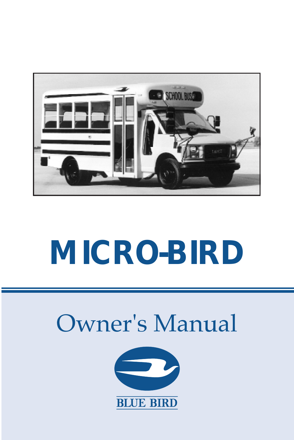

# **MICRO-BIRD**

## Owner's Manual

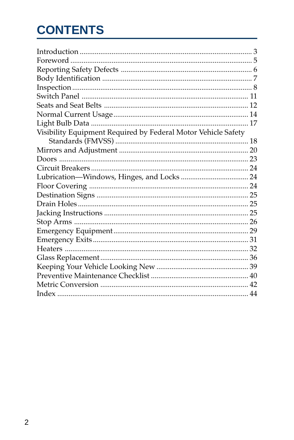### **CONTENTS**

| Visibility Equipment Required by Federal Motor Vehicle Safety |  |
|---------------------------------------------------------------|--|
|                                                               |  |
|                                                               |  |
|                                                               |  |
|                                                               |  |
|                                                               |  |
|                                                               |  |
|                                                               |  |
|                                                               |  |
|                                                               |  |
|                                                               |  |
|                                                               |  |
|                                                               |  |
|                                                               |  |
|                                                               |  |
|                                                               |  |
|                                                               |  |
|                                                               |  |
|                                                               |  |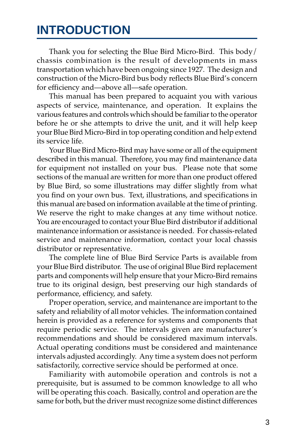### **INTRODUCTION**

Thank you for selecting the Blue Bird Micro-Bird. This body/ chassis combination is the result of developments in mass transportation which have been ongoing since 1927. The design and construction of the Micro-Bird bus body reflects Blue Bird's concern for efficiency and—above all—safe operation.

This manual has been prepared to acquaint you with various aspects of service, maintenance, and operation. It explains the various features and controls which should be familiar to the operator before he or she attempts to drive the unit, and it will help keep your Blue Bird Micro-Bird in top operating condition and help extend its service life.

Your Blue Bird Micro-Bird may have some or all of the equipment described in this manual. Therefore, you may find maintenance data for equipment not installed on your bus. Please note that some sections of the manual are written for more than one product offered by Blue Bird, so some illustrations may differ slightly from what you find on your own bus. Text, illustrations, and specifications in this manual are based on information available at the time of printing. We reserve the right to make changes at any time without notice. You are encouraged to contact your Blue Bird distributor if additional maintenance information or assistance is needed. For chassis-related service and maintenance information, contact your local chassis distributor or representative.

The complete line of Blue Bird Service Parts is available from your Blue Bird distributor. The use of original Blue Bird replacement parts and components will help ensure that your Micro-Bird remains true to its original design, best preserving our high standards of performance, efficiency, and safety.

Proper operation, service, and maintenance are important to the safety and reliability of all motor vehicles. The information contained herein is provided as a reference for systems and components that require periodic service. The intervals given are manufacturer's recommendations and should be considered maximum intervals. Actual operating conditions must be considered and maintenance intervals adjusted accordingly. Any time a system does not perform satisfactorily, corrective service should be performed at once.

Familiarity with automobile operation and controls is not a prerequisite, but is assumed to be common knowledge to all who will be operating this coach. Basically, control and operation are the same for both, but the driver must recognize some distinct differences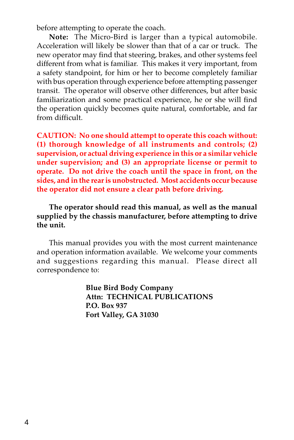before attempting to operate the coach.

**Note:** The Micro-Bird is larger than a typical automobile. Acceleration will likely be slower than that of a car or truck. The new operator may find that steering, brakes, and other systems feel different from what is familiar. This makes it very important, from a safety standpoint, for him or her to become completely familiar with bus operation through experience before attempting passenger transit. The operator will observe other differences, but after basic familiarization and some practical experience, he or she will find the operation quickly becomes quite natural, comfortable, and far from difficult.

**CAUTION: No one should attempt to operate this coach without: (1) thorough knowledge of all instruments and controls; (2) supervision, or actual driving experience in this or a similar vehicle under supervision; and (3) an appropriate license or permit to operate. Do not drive the coach until the space in front, on the sides, and in the rear is unobstructed. Most accidents occur because the operator did not ensure a clear path before driving.**

**The operator should read this manual, as well as the manual supplied by the chassis manufacturer, before attempting to drive the unit.**

This manual provides you with the most current maintenance and operation information available. We welcome your comments and suggestions regarding this manual. Please direct all correspondence to:

> **Blue Bird Body Company Attn: TECHNICAL PUBLICATIONS P.O. Box 937 Fort Valley, GA 31030**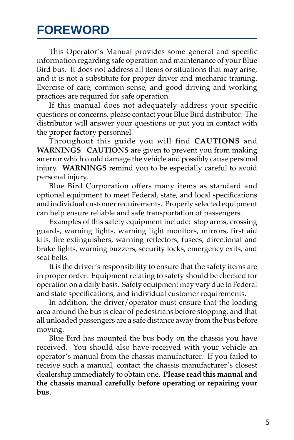### **FOREWORD**

This Operator's Manual provides some general and specific information regarding safe operation and maintenance of your Blue Bird bus. It does not address all items or situations that may arise, and it is not a substitute for proper driver and mechanic training. Exercise of care, common sense, and good driving and working practices are required for safe operation.

If this manual does not adequately address your specific questions or concerns, please contact your Blue Bird distributor. The distributor will answer your questions or put you in contact with the proper factory personnel.

Throughout this guide you will find **CAUTIONS** and **WARNINGS**. **CAUTIONS** are given to prevent you from making an error which could damage the vehicle and possibly cause personal injury. **WARNINGS** remind you to be especially careful to avoid personal injury.

Blue Bird Corporation offers many items as standard and optional equipment to meet Federal, state, and local specifications and individual customer requirements. Properly selected equipment can help ensure reliable and safe transportation of passengers.

Examples of this safety equipment include: stop arms, crossing guards, warning lights, warning light monitors, mirrors, first aid kits, fire extinguishers, warning reflectors, fusees, directional and brake lights, warning buzzers, security locks, emergency exits, and seat belts.

It is the driver's responsibility to ensure that the safety items are in proper order. Equipment relating to safety should be checked for operation on a daily basis. Safety equipment may vary due to Federal and state specifications, and individual customer requirements.

In addition, the driver/operator must ensure that the loading area around the bus is clear of pedestrians before stopping, and that all unloaded passengers are a safe distance away from the bus before moving.

Blue Bird has mounted the bus body on the chassis you have received. You should also have received with your vehicle an operator's manual from the chassis manufacturer. If you failed to receive such a manual, contact the chassis manufacturer's closest dealership immediately to obtain one. **Please read this manual and the chassis manual carefully before operating or repairing your bus.**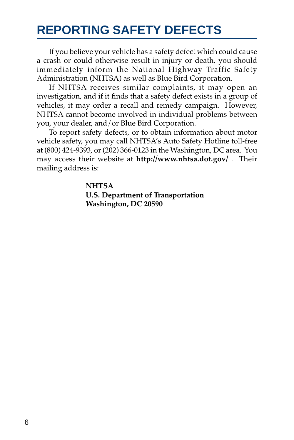### **REPORTING SAFETY DEFECTS**

If you believe your vehicle has a safety defect which could cause a crash or could otherwise result in injury or death, you should immediately inform the National Highway Traffic Safety Administration (NHTSA) as well as Blue Bird Corporation.

If NHTSA receives similar complaints, it may open an investigation, and if it finds that a safety defect exists in a group of vehicles, it may order a recall and remedy campaign. However, NHTSA cannot become involved in individual problems between you, your dealer, and/or Blue Bird Corporation.

To report safety defects, or to obtain information about motor vehicle safety, you may call NHTSA's Auto Safety Hotline toll-free at (800) 424-9393, or (202) 366-0123 in the Washington, DC area. You may access their website at **http://www.nhtsa.dot.gov/** . Their mailing address is:

> **NHTSA U.S. Department of Transportation Washington, DC 20590**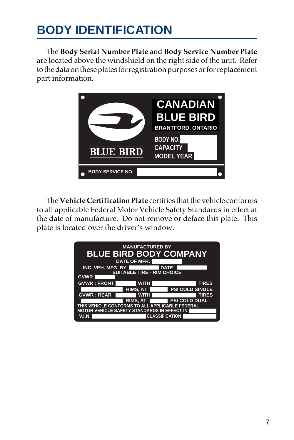### **BODY IDENTIFICATION**

The **Body Serial Number Plate** and **Body Service Number Plate** are located above the windshield on the right side of the unit. Refer to the data on these plates for registration purposes or for replacement part information.



The **Vehicle Certification Plate** certifies that the vehicle conforms to all applicable Federal Motor Vehicle Safety Standards in effect at the date of manufacture. Do not remove or deface this plate. This plate is located over the driver's window.

| <b>MANUFACTURED BY</b><br><b>BLUE BIRD BODY COMPANY</b> |                                   |                         |  |
|---------------------------------------------------------|-----------------------------------|-------------------------|--|
|                                                         | DATE OF MFR.                      |                         |  |
| INC. VEH. MFG. BY                                       |                                   | <b>DATE</b>             |  |
|                                                         | <b>SUITABLE TIRE - RIM CHOICE</b> |                         |  |
| <b>GVWR</b>                                             |                                   |                         |  |
| <b>GVWR: FRONT</b>                                      | <b>WITH</b>                       | <b>TIRES</b>            |  |
|                                                         | <b>RIMS, AT</b>                   | <b>PSI COLD SINGLE</b>  |  |
| <b>GVWR: REAR</b>                                       | <b>WITH</b>                       | <b>TIRES</b>            |  |
|                                                         | <b>RIMS, AT</b>                   | <b>PSI COLD DUAL</b>    |  |
| THIS VEHICLE CONFORMS TO ALL APPLICABLE FEDERAL         |                                   |                         |  |
| <b>MOTOR VEHICLE SAFETY STANDARDS IN EFFECT IN</b>      |                                   |                         |  |
| V.I.N.                                                  |                                   | <b>I CLASSIFICATION</b> |  |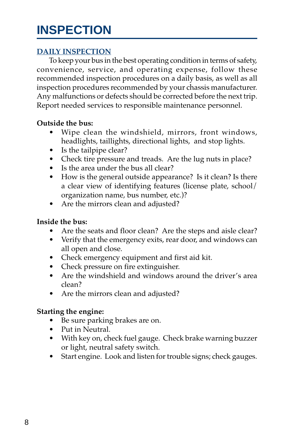### **INSPECTION**

#### **DAILY INSPECTION**

To keep your bus in the best operating condition in terms of safety, convenience, service, and operating expense, follow these recommended inspection procedures on a daily basis, as well as all inspection procedures recommended by your chassis manufacturer. Any malfunctions or defects should be corrected before the next trip. Report needed services to responsible maintenance personnel.

#### **Outside the bus:**

- Wipe clean the windshield, mirrors, front windows, headlights, taillights, directional lights, and stop lights.
- Is the tailpipe clear?
- Check tire pressure and treads. Are the lug nuts in place?
- Is the area under the bus all clear?
- How is the general outside appearance? Is it clean? Is there a clear view of identifying features (license plate, school/ organization name, bus number, etc.)?
- Are the mirrors clean and adjusted?

#### **Inside the bus:**

- Are the seats and floor clean? Are the steps and aisle clear?
- Verify that the emergency exits, rear door, and windows can all open and close.
- Check emergency equipment and first aid kit.
- Check pressure on fire extinguisher.
- Are the windshield and windows around the driver's area clean?
- Are the mirrors clean and adjusted?

#### **Starting the engine:**

- Be sure parking brakes are on.
- Put in Neutral.
- With key on, check fuel gauge. Check brake warning buzzer or light, neutral safety switch.
- Start engine. Look and listen for trouble signs; check gauges.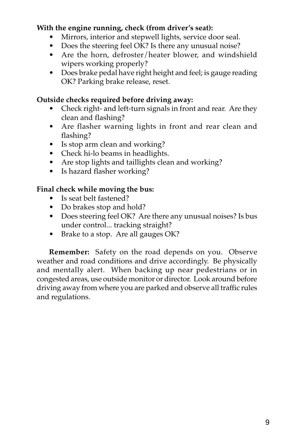#### **With the engine running, check (from driver's seat):**

- Mirrors, interior and stepwell lights, service door seal.
- Does the steering feel OK? Is there any unusual noise?
- Are the horn, defroster/heater blower, and windshield wipers working properly?
- Does brake pedal have right height and feel; is gauge reading OK? Parking brake release, reset.

#### **Outside checks required before driving away:**

- Check right- and left-turn signals in front and rear. Are they clean and flashing?
- Are flasher warning lights in front and rear clean and flashing?
- Is stop arm clean and working?
- Check hi-lo beams in headlights.
- Are stop lights and taillights clean and working?
- Is hazard flasher working?

#### **Final check while moving the bus:**

- Is seat belt fastened?
- Do brakes stop and hold?
- Does steering feel OK? Are there any unusual noises? Is bus under control... tracking straight?
- Brake to a stop. Are all gauges OK?

**Remember:** Safety on the road depends on you. Observe weather and road conditions and drive accordingly. Be physically and mentally alert. When backing up near pedestrians or in congested areas, use outside monitor or director. Look around before driving away from where you are parked and observe all traffic rules and regulations.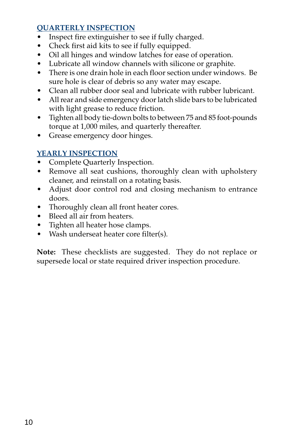#### **QUARTERLY INSPECTION**

- Inspect fire extinguisher to see if fully charged.
- Check first aid kits to see if fully equipped.
- Oil all hinges and window latches for ease of operation.
- Lubricate all window channels with silicone or graphite.
- There is one drain hole in each floor section under windows. Be sure hole is clear of debris so any water may escape.
- Clean all rubber door seal and lubricate with rubber lubricant.
- All rear and side emergency door latch slide bars to be lubricated with light grease to reduce friction.
- Tighten all body tie-down bolts to between 75 and 85 foot-pounds torque at 1,000 miles, and quarterly thereafter.
- Grease emergency door hinges.

#### **YEARLY INSPECTION**

- Complete Quarterly Inspection.
- Remove all seat cushions, thoroughly clean with upholstery cleaner, and reinstall on a rotating basis.
- Adjust door control rod and closing mechanism to entrance doors.
- Thoroughly clean all front heater cores.
- Bleed all air from heaters.
- Tighten all heater hose clamps.
- Wash underseat heater core filter(s).

**Note:** These checklists are suggested. They do not replace or supersede local or state required driver inspection procedure.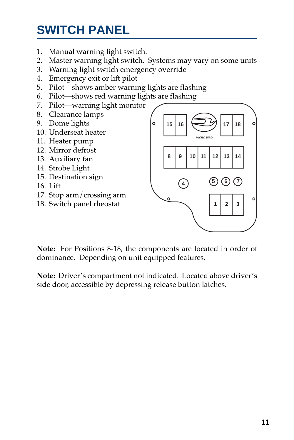### **SWITCH PANEL**

- 1. Manual warning light switch.
- 2. Master warning light switch. Systems may vary on some units
- 3. Warning light switch emergency override
- 4. Emergency exit or lift pilot
- 5. Pilot—shows amber warning lights are flashing
- 6. Pilot—shows red warning lights are flashing
- 7. Pilot—warning light monitor
- 8. Clearance lamps
- 9. Dome lights
- 10. Underseat heater
- 11. Heater pump
- 12. Mirror defrost
- 13. Auxiliary fan
- 14. Strobe Light
- 15. Destination sign
- 16. Lift
- 17. Stop arm/crossing arm
- 18. Switch panel rheostat



**Note:** For Positions 8-18, the components are located in order of dominance. Depending on unit equipped features.

**Note:** Driver's compartment not indicated. Located above driver's side door, accessible by depressing release button latches.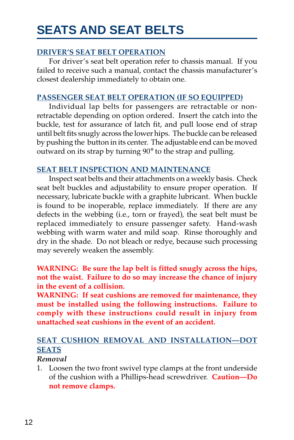### **SEATS AND SEAT BELTS**

#### **DRIVER'S SEAT BELT OPERATION**

For driver's seat belt operation refer to chassis manual. If you failed to receive such a manual, contact the chassis manufacturer's closest dealership immediately to obtain one.

#### **PASSENGER SEAT BELT OPERATION (IF SO EQUIPPED)**

Individual lap belts for passengers are retractable or nonretractable depending on option ordered. Insert the catch into the buckle, test for assurance of latch fit, and pull loose end of strap until belt fits snugly across the lower hips. The buckle can be released by pushing the button in its center. The adjustable end can be moved outward on its strap by turning 90° to the strap and pulling.

#### **SEAT BELT INSPECTION AND MAINTENANCE**

Inspect seat belts and their attachments on a weekly basis. Check seat belt buckles and adjustability to ensure proper operation. If necessary, lubricate buckle with a graphite lubricant. When buckle is found to be inoperable, replace immediately. If there are any defects in the webbing (i.e., torn or frayed), the seat belt must be replaced immediately to ensure passenger safety. Hand-wash webbing with warm water and mild soap. Rinse thoroughly and dry in the shade. Do not bleach or redye, because such processing may severely weaken the assembly.

#### **WARNING: Be sure the lap belt is fitted snugly across the hips, not the waist. Failure to do so may increase the chance of injury in the event of a collision.**

**WARNING: If seat cushions are removed for maintenance, they must be installed using the following instructions. Failure to comply with these instructions could result in injury from unattached seat cushions in the event of an accident.**

#### **SEAT CUSHION REMOVAL AND INSTALLATION—DOT SEATS**

#### *Removal*

1. Loosen the two front swivel type clamps at the front underside of the cushion with a Phillips-head screwdriver. **Caution—Do not remove clamps.**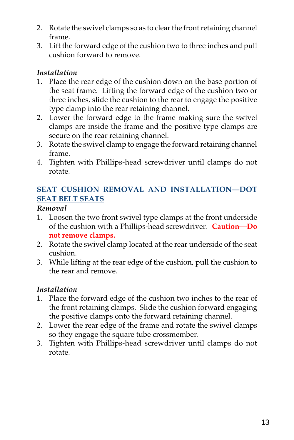- 2. Rotate the swivel clamps so as to clear the front retaining channel frame.
- 3. Lift the forward edge of the cushion two to three inches and pull cushion forward to remove.

#### *Installation*

- 1. Place the rear edge of the cushion down on the base portion of the seat frame. Lifting the forward edge of the cushion two or three inches, slide the cushion to the rear to engage the positive type clamp into the rear retaining channel.
- 2. Lower the forward edge to the frame making sure the swivel clamps are inside the frame and the positive type clamps are secure on the rear retaining channel.
- 3. Rotate the swivel clamp to engage the forward retaining channel frame.
- 4. Tighten with Phillips-head screwdriver until clamps do not rotate.

#### **SEAT CUSHION REMOVAL AND INSTALLATION—DOT SEAT BELT SEATS**

#### *Removal*

- 1. Loosen the two front swivel type clamps at the front underside of the cushion with a Phillips-head screwdriver. **Caution—Do not remove clamps.**
- 2. Rotate the swivel clamp located at the rear underside of the seat cushion.
- 3. While lifting at the rear edge of the cushion, pull the cushion to the rear and remove.

#### *Installation*

- 1. Place the forward edge of the cushion two inches to the rear of the front retaining clamps. Slide the cushion forward engaging the positive clamps onto the forward retaining channel.
- 2. Lower the rear edge of the frame and rotate the swivel clamps so they engage the square tube crossmember.
- 3. Tighten with Phillips-head screwdriver until clamps do not rotate.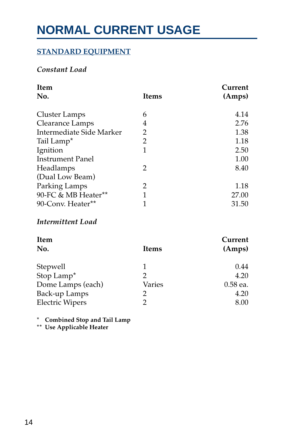### **NORMAL CURRENT USAGE**

#### **STANDARD EQUIPMENT**

#### *Constant Load*

| Item                     |                | Current |
|--------------------------|----------------|---------|
| No.                      | Items          | (Amps)  |
| Cluster Lamps            | 6              | 4.14    |
| Clearance Lamps          | 4              | 2.76    |
| Intermediate Side Marker | 2              | 1.38    |
| Tail Lamp <sup>*</sup>   | $\overline{2}$ | 1.18    |
| Ignition                 | 1              | 2.50    |
| Instrument Panel         |                | 1.00    |
| Headlamps                | 2              | 8.40    |
| (Dual Low Beam)          |                |         |
| Parking Lamps            | 2              | 1.18    |
| 90-FC & MB Heater**      | 1              | 27.00   |
| 90-Conv. Heater**        | 1              | 31.50   |

#### *Intermittent Load*

| Item                   |               | Current    |
|------------------------|---------------|------------|
| No.                    | Items         | (Amps)     |
| Stepwell               |               | 0.44       |
| Stop Lamp*             | 2             | 4.20       |
| Dome Lamps (each)      | Varies        | $0.58$ ea. |
| Back-up Lamps          |               | 4.20       |
| <b>Electric Wipers</b> | $\mathcal{D}$ | 8.00       |

**\* Combined Stop and Tail Lamp**

**\*\* Use Applicable Heater**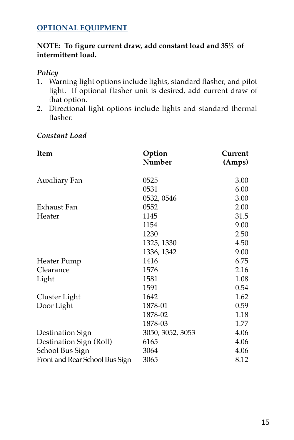#### **OPTIONAL EQUIPMENT**

#### **NOTE: To figure current draw, add constant load and 35% of intermittent load.**

#### *Policy*

- 1. Warning light options include lights, standard flasher, and pilot light. If optional flasher unit is desired, add current draw of that option.
- 2. Directional light options include lights and standard thermal flasher.

#### *Constant Load*

| <b>Item</b>                    | Option<br>Number | Current<br>(Amps) |
|--------------------------------|------------------|-------------------|
| Auxiliary Fan                  | 0525             | 3.00              |
|                                | 0531             | 6.00              |
|                                | 0532, 0546       | 3.00              |
| Exhaust Fan                    | 0552             | 2.00              |
| Heater                         | 1145             | 31.5              |
|                                | 1154             | 9.00              |
|                                | 1230             | 2.50              |
|                                | 1325, 1330       | 4.50              |
|                                | 1336, 1342       | 9.00              |
| Heater Pump                    | 1416             | 6.75              |
| Clearance                      | 1576             | 2.16              |
| Light                          | 1581             | 1.08              |
|                                | 1591             | 0.54              |
| Cluster Light                  | 1642             | 1.62              |
| Door Light                     | 1878-01          | 0.59              |
|                                | 1878-02          | 1.18              |
|                                | 1878-03          | 1.77              |
| Destination Sign               | 3050, 3052, 3053 | 4.06              |
| Destination Sign (Roll)        | 6165             | 4.06              |
| School Bus Sign                | 3064             | 4.06              |
| Front and Rear School Bus Sign | 3065             | 8.12              |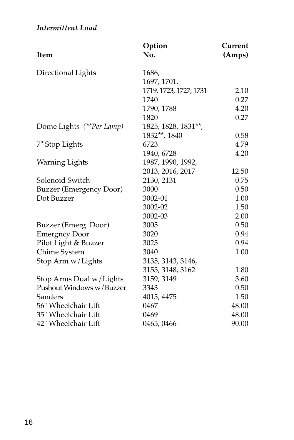#### *Intermittent Load*

|                          | Option                 | Current |
|--------------------------|------------------------|---------|
| <b>Item</b>              | No.                    | (Amps)  |
| Directional Lights       | 1686,                  |         |
|                          | 1697, 1701,            |         |
|                          | 1719, 1723, 1727, 1731 | 2.10    |
|                          | 1740                   | 0.27    |
|                          | 1790, 1788             | 4.20    |
|                          | 1820                   | 0.27    |
| Dome Lights (**Per Lamp) | 1825, 1828, 1831**,    |         |
|                          | 1832**, 1840           | 0.58    |
| 7" Stop Lights           | 6723                   | 4.79    |
|                          | 1940, 6728             | 4.20    |
| Warning Lights           | 1987, 1990, 1992,      |         |
|                          | 2013, 2016, 2017       | 12.50   |
| Solenoid Switch          | 2130, 2131             | 0.75    |
| Buzzer (Emergency Door)  | 3000                   | 0.50    |
| Dot Buzzer               | 3002-01                | 1.00    |
|                          | 3002-02                | 1.50    |
|                          | 3002-03                | 2.00    |
| Buzzer (Emerg. Door)     | 3005                   | 0.50    |
| <b>Emergncy Door</b>     | 3020                   | 0.94    |
| Pilot Light & Buzzer     | 3025                   | 0.94    |
| Chime System             | 3040                   | 1.00    |
| Stop Arm w/Lights        | 3135, 3143, 3146,      |         |
|                          | 3155, 3148, 3162       | 1.80    |
| Stop Arms Dual w/Lights  | 3159, 3149             | 3.60    |
| Pushout Windows w/Buzzer | 3343                   | 0.50    |
| Sanders                  | 4015, 4475             | 1.50    |
| 56" Wheelchair Lift      | 0467                   | 48.00   |
| 35" Wheelchair Lift      | 0469                   | 48.00   |
| 42" Wheelchair Lift      | 0465, 0466             | 90.00   |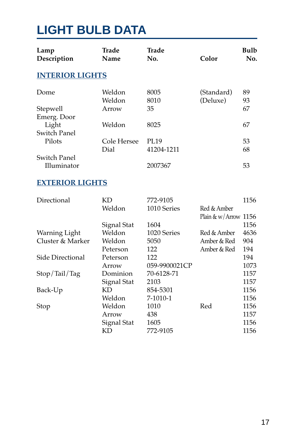### **LIGHT BULB DATA**

| Lamp<br>Description                | <b>Trade</b><br>Name | Trade<br>No.              | Color                  | Bulb<br>No. |
|------------------------------------|----------------------|---------------------------|------------------------|-------------|
| <b>INTERIOR LIGHTS</b>             |                      |                           |                        |             |
| Dome                               | Weldon<br>Weldon     | 8005<br>8010              | (Standard)<br>(Deluxe) | 89<br>93    |
| Stepwell<br>Emerg. Door            | Arrow                | 35                        |                        | 67          |
| Light<br><b>Switch Panel</b>       | Weldon               | 8025                      |                        | 67          |
| Pilots                             | Cole Hersee<br>Dial  | <b>PL19</b><br>41204-1211 |                        | 53<br>68    |
| <b>Switch Panel</b><br>Illuminator |                      | 2007367                   |                        | 53          |

#### **EXTERIOR LIGHTS**

| Directional      | KD          | 772-9105      |                        | 1156 |
|------------------|-------------|---------------|------------------------|------|
|                  | Weldon      | 1010 Series   | Red & Amber            |      |
|                  |             |               | Plain & $w/Arrow$ 1156 |      |
|                  | Signal Stat | 1604          |                        | 1156 |
| Warning Light    | Weldon      | 1020 Series   | Red & Amber            | 4636 |
| Cluster & Marker | Weldon      | 5050          | Amber & Red            | 904  |
|                  | Peterson    | 122           | Amber & Red            | 194  |
| Side Directional | Peterson    | 122           |                        | 194  |
|                  | Arrow       | 059-9900021CP |                        | 1073 |
| Stop/Tail/Tag    | Dominion    | 70-6128-71    |                        | 1157 |
|                  | Signal Stat | 2103          |                        | 1157 |
| Back-Up          | КD          | 854-5301      |                        | 1156 |
|                  | Weldon      | 7-1010-1      |                        | 1156 |
| Stop             | Weldon      | 1010          | Red                    | 1156 |
|                  | Arrow       | 438           |                        | 1157 |
|                  | Signal Stat | 1605          |                        | 1156 |
|                  | ΚD          | 772-9105      |                        | 1156 |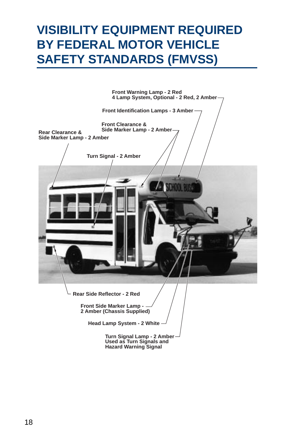### **VISIBILITY EQUIPMENT REQUIRED BY FEDERAL MOTOR VEHICLE SAFETY STANDARDS (FMVSS)**

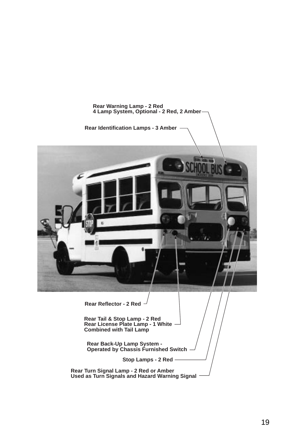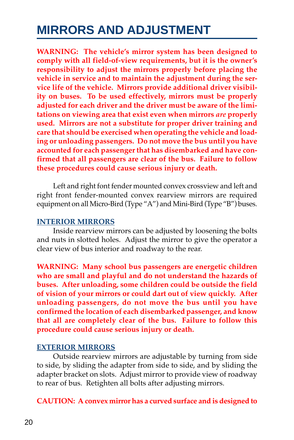### **MIRRORS AND ADJUSTMENT**

**WARNING: The vehicle's mirror system has been designed to comply with all field-of-view requirements, but it is the owner's responsibility to adjust the mirrors properly before placing the vehicle in service and to maintain the adjustment during the service life of the vehicle. Mirrors provide additional driver visibility on buses. To be used effectively, mirrors must be properly adjusted for each driver and the driver must be aware of the limitations on viewing area that exist even when mirrors** *are* **properly used. Mirrors are not a substitute for proper driver training and care that should be exercised when operating the vehicle and loading or unloading passengers. Do not move the bus until you have accounted for each passenger that has disembarked and have confirmed that all passengers are clear of the bus. Failure to follow these procedures could cause serious injury or death.**

Left and right font fender mounted convex crossview and left and right front fender-mounted convex rearview mirrors are required equipment on all Micro-Bird (Type "A") and Mini-Bird (Type "B") buses.

#### **INTERIOR MIRRORS**

Inside rearview mirrors can be adjusted by loosening the bolts and nuts in slotted holes. Adjust the mirror to give the operator a clear view of bus interior and roadway to the rear.

**WARNING: Many school bus passengers are energetic children who are small and playful and do not understand the hazards of buses. After unloading, some children could be outside the field of vision of your mirrors or could dart out of view quickly. After unloading passengers, do not move the bus until you have confirmed the location of each disembarked passenger, and know that all are completely clear of the bus. Failure to follow this procedure could cause serious injury or death.**

#### **EXTERIOR MIRRORS**

Outside rearview mirrors are adjustable by turning from side to side, by sliding the adapter from side to side, and by sliding the adapter bracket on slots. Adjust mirror to provide view of roadway to rear of bus. Retighten all bolts after adjusting mirrors.

**CAUTION: A convex mirror has a curved surface and is designed to**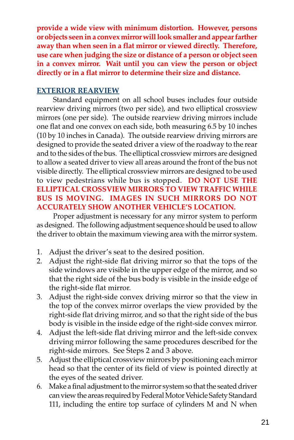**provide a wide view with minimum distortion. However, persons or objects seen in a convex mirror will look smaller and appear farther away than when seen in a flat mirror or viewed directly. Therefore, use care when judging the size or distance of a person or object seen in a convex mirror. Wait until you can view the person or object directly or in a flat mirror to determine their size and distance.**

#### **EXTERIOR REARVIEW**

Standard equipment on all school buses includes four outside rearview driving mirrors (two per side), and two elliptical crossview mirrors (one per side). The outside rearview driving mirrors include one flat and one convex on each side, both measuring 6.5 by 10 inches (10 by 10 inches in Canada). The outside rearview driving mirrors are designed to provide the seated driver a view of the roadway to the rear and to the sides of the bus. The elliptical crossview mirrors are designed to allow a seated driver to view all areas around the front of the bus not visible directly. The elliptical crossview mirrors are designed to be used to view pedestrians while bus is stopped. **DO NOT USE THE ELLIPTICAL CROSSVIEW MIRRORS TO VIEW TRAFFIC WHILE BUS IS MOVING. IMAGES IN SUCH MIRRORS DO NOT ACCURATELY SHOW ANOTHER VEHICLE'S LOCATION.**

Proper adjustment is necessary for any mirror system to perform as designed. The following adjustment sequence should be used to allow the driver to obtain the maximum viewing area with the mirror system.

- 1. Adjust the driver's seat to the desired position.
- 2. Adjust the right-side flat driving mirror so that the tops of the side windows are visible in the upper edge of the mirror, and so that the right side of the bus body is visible in the inside edge of the right-side flat mirror.
- 3. Adjust the right-side convex driving mirror so that the view in the top of the convex mirror overlaps the view provided by the right-side flat driving mirror, and so that the right side of the bus body is visible in the inside edge of the right-side convex mirror.
- 4. Adjust the left-side flat driving mirror and the left-side convex driving mirror following the same procedures described for the right-side mirrors. See Steps 2 and 3 above.
- 5. Adjust the elliptical crossview mirrors by positioning each mirror head so that the center of its field of view is pointed directly at the eyes of the seated driver.
- 6. Make a final adjustment to the mirror system so that the seated driver can view the areas required by Federal Motor Vehicle Safety Standard 111, including the entire top surface of cylinders M and N when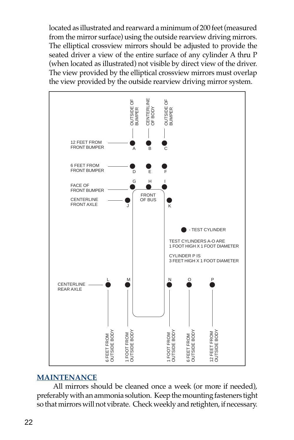located as illustrated and rearward a minimum of 200 feet (measured from the mirror surface) using the outside rearview driving mirrors. The elliptical crossview mirrors should be adjusted to provide the seated driver a view of the entire surface of any cylinder A thru P (when located as illustrated) not visible by direct view of the driver. The view provided by the elliptical crossview mirrors must overlap the view provided by the outside rearview driving mirror system.



#### **MAINTENANCE**

All mirrors should be cleaned once a week (or more if needed), preferably with an ammonia solution. Keep the mounting fasteners tight so that mirrors will not vibrate. Check weekly and retighten, if necessary.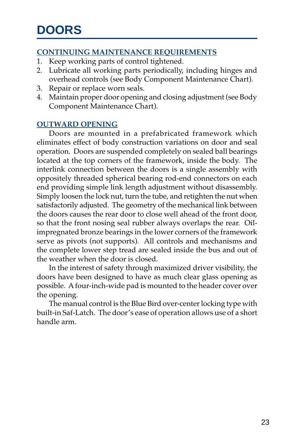#### **CONTINUING MAINTENANCE REQUIREMENTS**

- 1. Keep working parts of control tightened.
- 2. Lubricate all working parts periodically, including hinges and overhead controls (see Body Component Maintenance Chart).
- 3. Repair or replace worn seals.
- 4. Maintain proper door opening and closing adjustment (see Body Component Maintenance Chart).

#### **OUTWARD OPENING**

Doors are mounted in a prefabricated framework which eliminates effect of body construction variations on door and seal operation. Doors are suspended completely on sealed ball bearings located at the top corners of the framework, inside the body. The interlink connection between the doors is a single assembly with oppositely threaded spherical bearing rod-end connectors on each end providing simple link length adjustment without disassembly. Simply loosen the lock nut, turn the tube, and retighten the nut when satisfactorily adjusted. The geometry of the mechanical link between the doors causes the rear door to close well ahead of the front door, so that the front nosing seal rubber always overlaps the rear. Oilimpregnated bronze bearings in the lower corners of the framework serve as pivots (not supports). All controls and mechanisms and the complete lower step tread are sealed inside the bus and out of the weather when the door is closed.

In the interest of safety through maximized driver visibility, the doors have been designed to have as much clear glass opening as possible. A four-inch-wide pad is mounted to the header cover over the opening.

The manual control is the Blue Bird over-center locking type with built-in Saf-Latch. The door's ease of operation allows use of a short handle arm.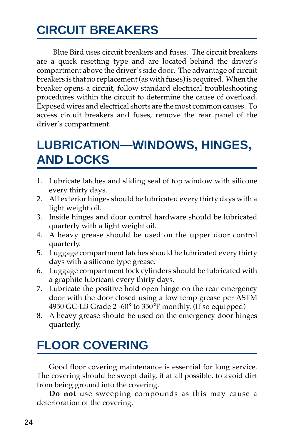### **CIRCUIT BREAKERS**

Blue Bird uses circuit breakers and fuses. The circuit breakers are a quick resetting type and are located behind the driver's compartment above the driver's side door. The advantage of circuit breakers is that no replacement (as with fuses) is required. When the breaker opens a circuit, follow standard electrical troubleshooting procedures within the circuit to determine the cause of overload. Exposed wires and electrical shorts are the most common causes. To access circuit breakers and fuses, remove the rear panel of the driver's compartment.

### **LUBRICATION—WINDOWS, HINGES, AND LOCKS**

- 1. Lubricate latches and sliding seal of top window with silicone every thirty days.
- 2. All exterior hinges should be lubricated every thirty days with a light weight oil.
- 3. Inside hinges and door control hardware should be lubricated quarterly with a light weight oil.
- 4. A heavy grease should be used on the upper door control quarterly.
- 5. Luggage compartment latches should be lubricated every thirty days with a silicone type grease.
- 6. Luggage compartment lock cylinders should be lubricated with a graphite lubricant every thirty days.
- 7. Lubricate the positive hold open hinge on the rear emergency door with the door closed using a low temp grease per ASTM 4950 GC-LB Grade 2 -60° to 350°F monthly. (If so equipped)
- 8. A heavy grease should be used on the emergency door hinges quarterly.

### **FLOOR COVERING**

Good floor covering maintenance is essential for long service. The covering should be swept daily, if at all possible, to avoid dirt from being ground into the covering.

**Do not** use sweeping compounds as this may cause a deterioration of the covering.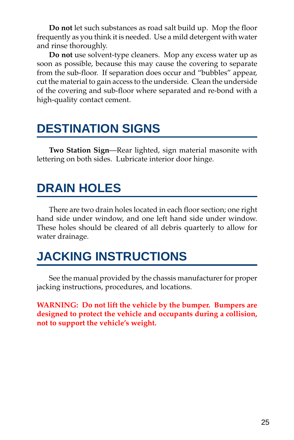**Do not** let such substances as road salt build up. Mop the floor frequently as you think it is needed. Use a mild detergent with water and rinse thoroughly.

**Do not** use solvent-type cleaners. Mop any excess water up as soon as possible, because this may cause the covering to separate from the sub-floor. If separation does occur and "bubbles" appear, cut the material to gain access to the underside. Clean the underside of the covering and sub-floor where separated and re-bond with a high-quality contact cement.

### **DESTINATION SIGNS**

**Two Station Sign**—Rear lighted, sign material masonite with lettering on both sides. Lubricate interior door hinge.

### **DRAIN HOLES**

There are two drain holes located in each floor section; one right hand side under window, and one left hand side under window. These holes should be cleared of all debris quarterly to allow for water drainage.

### **JACKING INSTRUCTIONS**

See the manual provided by the chassis manufacturer for proper jacking instructions, procedures, and locations.

**WARNING: Do not lift the vehicle by the bumper. Bumpers are designed to protect the vehicle and occupants during a collision, not to support the vehicle's weight.**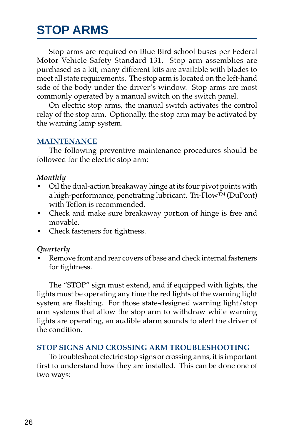### **STOP ARMS**

Stop arms are required on Blue Bird school buses per Federal Motor Vehicle Safety Standard 131. Stop arm assemblies are purchased as a kit; many different kits are available with blades to meet all state requirements. The stop arm is located on the left-hand side of the body under the driver's window. Stop arms are most commonly operated by a manual switch on the switch panel.

On electric stop arms, the manual switch activates the control relay of the stop arm. Optionally, the stop arm may be activated by the warning lamp system.

#### **MAINTENANCE**

The following preventive maintenance procedures should be followed for the electric stop arm:

#### *Monthly*

- Oil the dual-action breakaway hinge at its four pivot points with a high-performance, penetrating lubricant. Tri-Flow™ (DuPont) with Teflon is recommended.
- Check and make sure breakaway portion of hinge is free and movable.
- Check fasteners for tightness.

#### *Quarterly*

• Remove front and rear covers of base and check internal fasteners for tightness.

The "STOP" sign must extend, and if equipped with lights, the lights must be operating any time the red lights of the warning light system are flashing. For those state-designed warning light/stop arm systems that allow the stop arm to withdraw while warning lights are operating, an audible alarm sounds to alert the driver of the condition.

#### **STOP SIGNS AND CROSSING ARM TROUBLESHOOTING**

To troubleshoot electric stop signs or crossing arms, it is important first to understand how they are installed. This can be done one of two ways: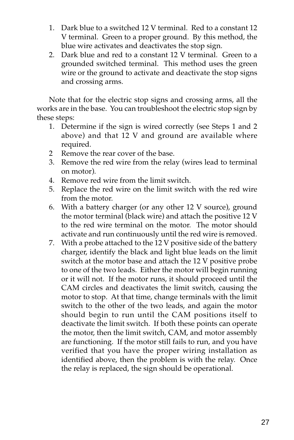- 1. Dark blue to a switched 12 V terminal. Red to a constant 12 V terminal. Green to a proper ground. By this method, the blue wire activates and deactivates the stop sign.
- 2. Dark blue and red to a constant 12 V terminal. Green to a grounded switched terminal. This method uses the green wire or the ground to activate and deactivate the stop signs and crossing arms.

Note that for the electric stop signs and crossing arms, all the works are in the base. You can troubleshoot the electric stop sign by these steps:

- 1. Determine if the sign is wired correctly (see Steps 1 and 2 above) and that 12 V and ground are available where required.
- 2 Remove the rear cover of the base.
- 3. Remove the red wire from the relay (wires lead to terminal on motor).
- 4. Remove red wire from the limit switch.
- 5. Replace the red wire on the limit switch with the red wire from the motor.
- 6. With a battery charger (or any other 12 V source), ground the motor terminal (black wire) and attach the positive 12 V to the red wire terminal on the motor. The motor should activate and run continuously until the red wire is removed.
- 7. With a probe attached to the 12 V positive side of the battery charger, identify the black and light blue leads on the limit switch at the motor base and attach the 12 V positive probe to one of the two leads. Either the motor will begin running or it will not. If the motor runs, it should proceed until the CAM circles and deactivates the limit switch, causing the motor to stop. At that time, change terminals with the limit switch to the other of the two leads, and again the motor should begin to run until the CAM positions itself to deactivate the limit switch. If both these points can operate the motor, then the limit switch, CAM, and motor assembly are functioning. If the motor still fails to run, and you have verified that you have the proper wiring installation as identified above, then the problem is with the relay. Once the relay is replaced, the sign should be operational.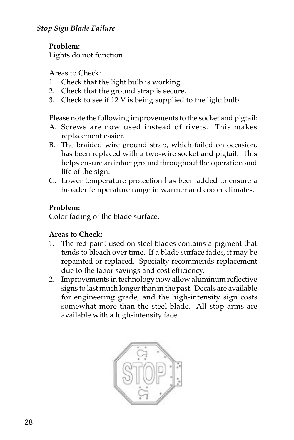#### **Problem:**

Lights do not function.

Areas to Check:

- 1. Check that the light bulb is working.
- 2. Check that the ground strap is secure.
- 3. Check to see if 12 V is being supplied to the light bulb.

Please note the following improvements to the socket and pigtail:

- A. Screws are now used instead of rivets. This makes replacement easier.
- B. The braided wire ground strap, which failed on occasion, has been replaced with a two-wire socket and pigtail. This helps ensure an intact ground throughout the operation and life of the sign.
- C. Lower temperature protection has been added to ensure a broader temperature range in warmer and cooler climates.

#### **Problem:**

Color fading of the blade surface.

#### **Areas to Check:**

- 1. The red paint used on steel blades contains a pigment that tends to bleach over time. If a blade surface fades, it may be repainted or replaced. Specialty recommends replacement due to the labor savings and cost efficiency.
- 2. Improvements in technology now allow aluminum reflective signs to last much longer than in the past. Decals are available for engineering grade, and the high-intensity sign costs somewhat more than the steel blade. All stop arms are available with a high-intensity face.

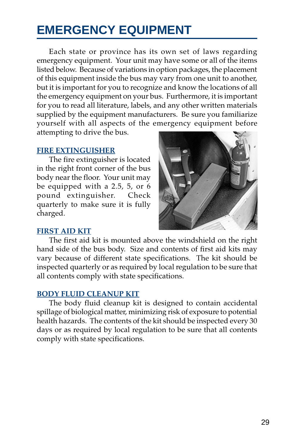### **EMERGENCY EQUIPMENT**

Each state or province has its own set of laws regarding emergency equipment. Your unit may have some or all of the items listed below. Because of variations in option packages, the placement of this equipment inside the bus may vary from one unit to another, but it is important for you to recognize and know the locations of all the emergency equipment on your bus. Furthermore, it is important for you to read all literature, labels, and any other written materials supplied by the equipment manufacturers. Be sure you familiarize yourself with all aspects of the emergency equipment before

attempting to drive the bus.

#### **FIRE EXTINGUISHER**

The fire extinguisher is located in the right front corner of the bus body near the floor. Your unit may be equipped with a 2.5, 5, or 6 pound extinguisher. Check quarterly to make sure it is fully charged.



#### **FIRST AID KIT**

The first aid kit is mounted above the windshield on the right hand side of the bus body. Size and contents of first aid kits may vary because of different state specifications. The kit should be inspected quarterly or as required by local regulation to be sure that all contents comply with state specifications.

#### **BODY FLUID CLEANUP KIT**

The body fluid cleanup kit is designed to contain accidental spillage of biological matter, minimizing risk of exposure to potential health hazards. The contents of the kit should be inspected every 30 days or as required by local regulation to be sure that all contents comply with state specifications.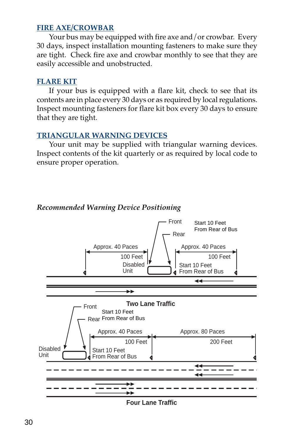#### **FIRE AXE/CROWBAR**

Your bus may be equipped with fire axe and/or crowbar. Every 30 days, inspect installation mounting fasteners to make sure they are tight. Check fire axe and crowbar monthly to see that they are easily accessible and unobstructed.

#### **FLARE KIT**

If your bus is equipped with a flare kit, check to see that its contents are in place every 30 days or as required by local regulations. Inspect mounting fasteners for flare kit box every 30 days to ensure that they are tight.

#### **TRIANGULAR WARNING DEVICES**

Your unit may be supplied with triangular warning devices. Inspect contents of the kit quarterly or as required by local code to ensure proper operation.

#### *Recommended Warning Device Positioning*



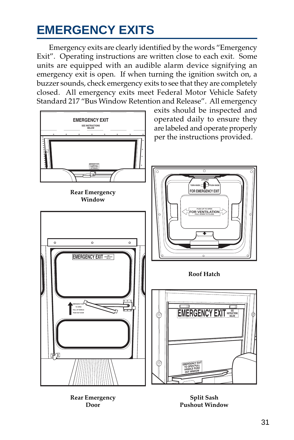### **EMERGENCY EXITS**

Emergency exits are clearly identified by the words "Emergency Exit". Operating instructions are written close to each exit. Some units are equipped with an audible alarm device signifying an emergency exit is open. If when turning the ignition switch on, a buzzer sounds, check emergency exits to see that they are completely closed. All emergency exits meet Federal Motor Vehicle Safety Standard 217 "Bus Window Retention and Release". All emergency



**Rear Emergency Door**

**Split Sash Pushout Window**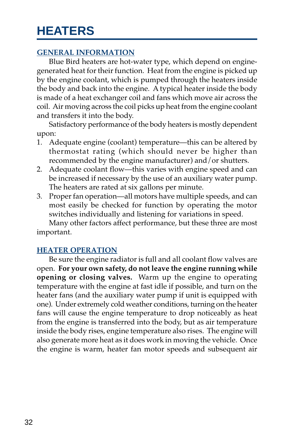### **HEATERS**

#### **GENERAL INFORMATION**

Blue Bird heaters are hot-water type, which depend on enginegenerated heat for their function. Heat from the engine is picked up by the engine coolant, which is pumped through the heaters inside the body and back into the engine. A typical heater inside the body is made of a heat exchanger coil and fans which move air across the coil. Air moving across the coil picks up heat from the engine coolant and transfers it into the body.

Satisfactory performance of the body heaters is mostly dependent upon:

- 1. Adequate engine (coolant) temperature—this can be altered by thermostat rating (which should never be higher than recommended by the engine manufacturer) and/or shutters.
- 2. Adequate coolant flow—this varies with engine speed and can be increased if necessary by the use of an auxiliary water pump. The heaters are rated at six gallons per minute.
- 3. Proper fan operation—all motors have multiple speeds, and can most easily be checked for function by operating the motor switches individually and listening for variations in speed.

Many other factors affect performance, but these three are most important.

#### **HEATER OPERATION**

Be sure the engine radiator is full and all coolant flow valves are open. **For your own safety, do not leave the engine running while opening or closing valves.** Warm up the engine to operating temperature with the engine at fast idle if possible, and turn on the heater fans (and the auxiliary water pump if unit is equipped with one). Under extremely cold weather conditions, turning on the heater fans will cause the engine temperature to drop noticeably as heat from the engine is transferred into the body, but as air temperature inside the body rises, engine temperature also rises. The engine will also generate more heat as it does work in moving the vehicle. Once the engine is warm, heater fan motor speeds and subsequent air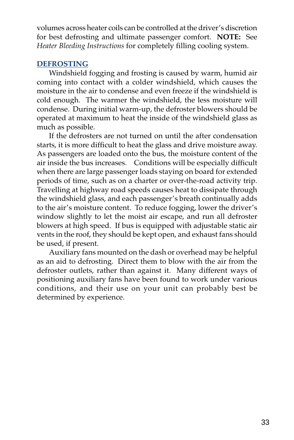volumes across heater coils can be controlled at the driver's discretion for best defrosting and ultimate passenger comfort. **NOTE:** See *Heater Bleeding Instructions* for completely filling cooling system.

#### **DEFROSTING**

Windshield fogging and frosting is caused by warm, humid air coming into contact with a colder windshield, which causes the moisture in the air to condense and even freeze if the windshield is cold enough. The warmer the windshield, the less moisture will condense. During initial warm-up, the defroster blowers should be operated at maximum to heat the inside of the windshield glass as much as possible.

If the defrosters are not turned on until the after condensation starts, it is more difficult to heat the glass and drive moisture away. As passengers are loaded onto the bus, the moisture content of the air inside the bus increases. Conditions will be especially difficult when there are large passenger loads staying on board for extended periods of time, such as on a charter or over-the-road activity trip. Travelling at highway road speeds causes heat to dissipate through the windshield glass, and each passenger's breath continually adds to the air's moisture content. To reduce fogging, lower the driver's window slightly to let the moist air escape, and run all defroster blowers at high speed. If bus is equipped with adjustable static air vents in the roof, they should be kept open, and exhaust fans should be used, if present.

Auxiliary fans mounted on the dash or overhead may be helpful as an aid to defrosting. Direct them to blow with the air from the defroster outlets, rather than against it. Many different ways of positioning auxiliary fans have been found to work under various conditions, and their use on your unit can probably best be determined by experience.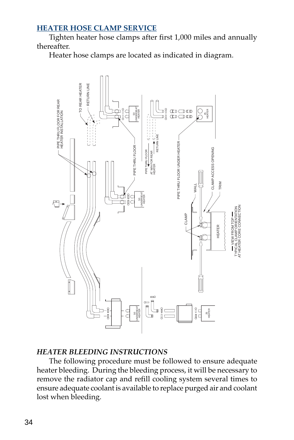#### **HEATER HOSE CLAMP SERVICE**

Tighten heater hose clamps after first 1,000 miles and annually thereafter.

Heater hose clamps are located as indicated in diagram.



#### *HEATER BLEEDING INSTRUCTIONS*

The following procedure must be followed to ensure adequate heater bleeding. During the bleeding process, it will be necessary to remove the radiator cap and refill cooling system several times to ensure adequate coolant is available to replace purged air and coolant lost when bleeding.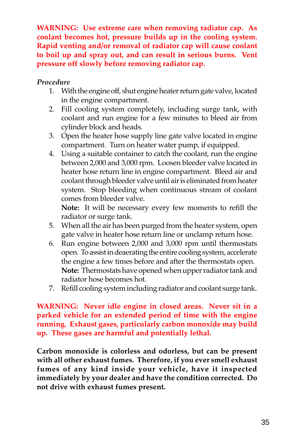**WARNING: Use extreme care when removing radiator cap. As coolant becomes hot, pressure builds up in the cooling system. Rapid venting and/or removal of radiator cap will cause coolant to boil up and spray out, and can result in serious burns. Vent pressure off slowly before removing radiator cap.**

#### *Procedure*

- 1. With the engine off, shut engine heater return gate valve, located in the engine compartment.
- 2. Fill cooling system completely, including surge tank, with coolant and run engine for a few minutes to bleed air from cylinder block and heads.
- 3. Open the heater hose supply line gate valve located in engine compartment. Turn on heater water pump, if equipped.
- 4. Using a suitable container to catch the coolant, run the engine between 2,000 and 3,000 rpm. Loosen bleeder valve located in heater hose return line in engine compartment. Bleed air and coolant through bleeder valve until air is eliminated from heater system. Stop bleeding when continuous stream of coolant comes from bleeder valve.

**Note:** It will be necessary every few moments to refill the radiator or surge tank.

- 5. When all the air has been purged from the heater system, open gate valve in heater hose return line or unclamp return hose.
- 6. Run engine between 2,000 and 3,000 rpm until thermostats open. To assist in deaerating the entire cooling system, accelerate the engine a few times before and after the thermostats open. **Note:** Thermostats have opened when upper radiator tank and radiator hose becomes hot.
- 7. Refill cooling system including radiator and coolant surge tank.

**WARNING: Never idle engine in closed areas. Never sit in a parked vehicle for an extended period of time with the engine running. Exhaust gases, particularly carbon monoxide may build up. These gases are harmful and potentially lethal.**

**Carbon monoxide is colorless and odorless, but can be present with all other exhaust fumes. Therefore, if you ever smell exhaust fumes of any kind inside your vehicle, have it inspected immediately by your dealer and have the condition corrected. Do not drive with exhaust fumes present.**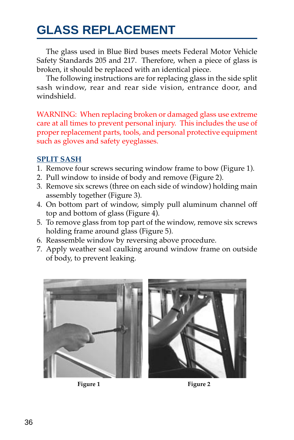### **GLASS REPLACEMENT**

The glass used in Blue Bird buses meets Federal Motor Vehicle Safety Standards 205 and 217. Therefore, when a piece of glass is broken, it should be replaced with an identical piece.

The following instructions are for replacing glass in the side split sash window, rear and rear side vision, entrance door, and windshield.

WARNING: When replacing broken or damaged glass use extreme care at all times to prevent personal injury. This includes the use of proper replacement parts, tools, and personal protective equipment such as gloves and safety eyeglasses.

#### **SPLIT SASH**

- 1. Remove four screws securing window frame to bow (Figure 1).
- 2. Pull window to inside of body and remove (Figure 2).
- 3. Remove six screws (three on each side of window) holding main assembly together (Figure 3).
- 4. On bottom part of window, simply pull aluminum channel off top and bottom of glass (Figure 4).
- 5. To remove glass from top part of the window, remove six screws holding frame around glass (Figure 5).
- 6. Reassemble window by reversing above procedure.
- 7. Apply weather seal caulking around window frame on outside of body, to prevent leaking.





Figure 1 Figure 2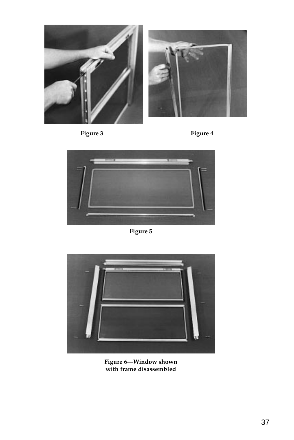







**Figure 5**



**Figure 6—Window shown with frame disassembled**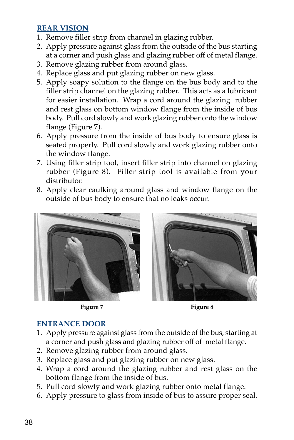#### **REAR VISION**

- 1. Remove filler strip from channel in glazing rubber.
- 2. Apply pressure against glass from the outside of the bus starting at a corner and push glass and glazing rubber off of metal flange.
- 3. Remove glazing rubber from around glass.
- 4. Replace glass and put glazing rubber on new glass.
- 5. Apply soapy solution to the flange on the bus body and to the filler strip channel on the glazing rubber. This acts as a lubricant for easier installation. Wrap a cord around the glazing rubber and rest glass on bottom window flange from the inside of bus body. Pull cord slowly and work glazing rubber onto the window flange (Figure 7).
- 6. Apply pressure from the inside of bus body to ensure glass is seated properly. Pull cord slowly and work glazing rubber onto the window flange.
- 7. Using filler strip tool, insert filler strip into channel on glazing rubber (Figure 8). Filler strip tool is available from your distributor.
- 8. Apply clear caulking around glass and window flange on the outside of bus body to ensure that no leaks occur.





Figure 7 Figure 8

#### **ENTRANCE DOOR**

- 1. Apply pressure against glass from the outside of the bus, starting at a corner and push glass and glazing rubber off of metal flange.
- 2. Remove glazing rubber from around glass.
- 3. Replace glass and put glazing rubber on new glass.
- 4. Wrap a cord around the glazing rubber and rest glass on the bottom flange from the inside of bus.
- 5. Pull cord slowly and work glazing rubber onto metal flange.
- 6. Apply pressure to glass from inside of bus to assure proper seal.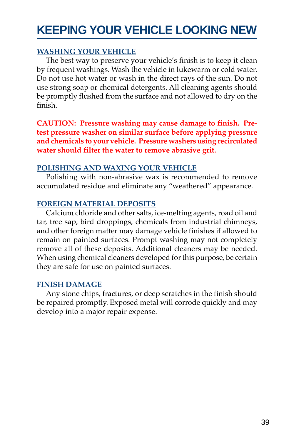### **KEEPING YOUR VEHICLE LOOKING NEW**

#### **WASHING YOUR VEHICLE**

The best way to preserve your vehicle's finish is to keep it clean by frequent washings. Wash the vehicle in lukewarm or cold water. Do not use hot water or wash in the direct rays of the sun. Do not use strong soap or chemical detergents. All cleaning agents should be promptly flushed from the surface and not allowed to dry on the finish.

**CAUTION: Pressure washing may cause damage to finish. Pretest pressure washer on similar surface before applying pressure and chemicals to your vehicle. Pressure washers using recirculated water should filter the water to remove abrasive grit.**

#### **POLISHING AND WAXING YOUR VEHICLE**

Polishing with non-abrasive wax is recommended to remove accumulated residue and eliminate any "weathered" appearance.

#### **FOREIGN MATERIAL DEPOSITS**

Calcium chloride and other salts, ice-melting agents, road oil and tar, tree sap, bird droppings, chemicals from industrial chimneys, and other foreign matter may damage vehicle finishes if allowed to remain on painted surfaces. Prompt washing may not completely remove all of these deposits. Additional cleaners may be needed. When using chemical cleaners developed for this purpose, be certain they are safe for use on painted surfaces.

#### **FINISH DAMAGE**

Any stone chips, fractures, or deep scratches in the finish should be repaired promptly. Exposed metal will corrode quickly and may develop into a major repair expense.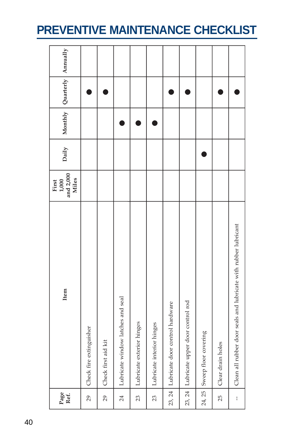#### 40

### **PREVENTIVE MAINTENANCE CHECKLIST**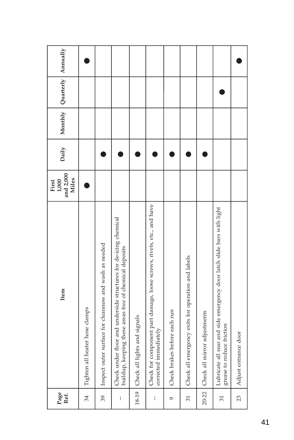| Page<br>Ref. | Item                                                                                                                            | $\begin{bmatrix} 1,000 \\ \text{and} \ 2,000 \end{bmatrix}$<br><b>Miles</b><br>First | Daily | Monthly | Quarterly   Annually |  |
|--------------|---------------------------------------------------------------------------------------------------------------------------------|--------------------------------------------------------------------------------------|-------|---------|----------------------|--|
| 34           | Tighten all heater hose clamps                                                                                                  |                                                                                      |       |         |                      |  |
| 39           | surface for cleanness and wash as needed<br>Inspect outer                                                                       |                                                                                      |       |         |                      |  |
| $\mathbf{I}$ | floor and underside structures for de-icing chemical<br>buildup, keeping these areas free of chemical deposits<br>Check under f |                                                                                      |       |         |                      |  |
| 18-19        | Check all lights and signals                                                                                                    |                                                                                      |       |         |                      |  |
| $\mathbf{I}$ | Check for component part damage, loose screws, rivets, etc., and have<br>corrected immediately                                  |                                                                                      |       |         |                      |  |
| $\circ$      | before each run<br>Check brakes                                                                                                 |                                                                                      |       |         |                      |  |
| 31           | Check all emergency exits for operation and labels                                                                              |                                                                                      |       |         |                      |  |
| $20 - 22$    | Check all mirror adjustments                                                                                                    |                                                                                      |       |         |                      |  |
| 51           | Lubricate all rear and side emergency door latch slide bars with light<br>grease to reduce friction                             |                                                                                      |       |         |                      |  |
| 23           | Adjust entrance door                                                                                                            |                                                                                      |       |         |                      |  |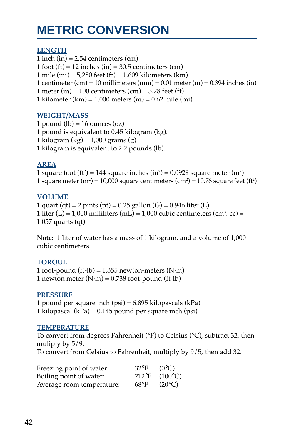### **METRIC CONVERSION**

#### **LENGTH**

1 inch  $(in) = 2.54$  centimeters  $(cm)$ 

1 foot (ft) = 12 inches (in) =  $30.5$  centimeters (cm)

1 mile (mi) = 5,280 feet (ft) = 1.609 kilometers (km)

1 centimeter (cm) = 10 millimeters (mm) =  $0.01$  meter (m) =  $0.394$  inches (in)

1 meter (m) =  $100$  centimeters (cm) =  $3.28$  feet (ft)

1 kilometer (km) =  $1,000$  meters (m) =  $0.62$  mile (mi)

#### **WEIGHT/MASS**

1 pound  $(lb) = 16$  ounces  $(oz)$ 1 pound is equivalent to 0.45 kilogram (kg). 1 kilogram (kg) = 1,000 grams (g) 1 kilogram is equivalent to 2.2 pounds (lb).

#### **AREA**

1 square foot (ft<sup>2</sup>) = 144 square inches (in<sup>2</sup>) = 0.0929 square meter (m<sup>2</sup>) 1 square meter (m<sup>2</sup>) = 10,000 square centimeters (cm<sup>2</sup>) = 10.76 square feet (ft<sup>2</sup>)

#### **VOLUME**

1 quart (qt) = 2 pints (pt) =  $0.25$  gallon (G) =  $0.946$  liter (L) 1 liter (L) = 1,000 milliliters (mL) = 1,000 cubic centimeters (cm<sup>3</sup>, cc) = 1.057 quarts (qt)

**Note:** 1 liter of water has a mass of 1 kilogram, and a volume of 1,000 cubic centimeters.

#### **TORQUE**

1 foot-pound (ft-lb) =  $1.355$  newton-meters (N·m) 1 newton meter  $(N \cdot m) = 0.738$  foot-pound (ft-lb)

#### **PRESSURE**

1 pound per square inch (psi) = 6.895 kilopascals (kPa) 1 kilopascal (kPa) =  $0.145$  pound per square inch (psi)

#### **TEMPERATURE**

To convert from degrees Fahrenheit (°F) to Celsius (°C), subtract 32, then muliply by 5/9. To convert from Celsius to Fahrenheit, multiply by 9/5, then add 32.

| Freezing point of water:  | $32^{\circ}F$  | $(0^{\circ}C)$       |
|---------------------------|----------------|----------------------|
| Boiling point of water:   | $212^{\circ}F$ | $(100\textdegree C)$ |
| Average room temperature: | $68^{\circ}$ F | $(20^{\circ}C)$      |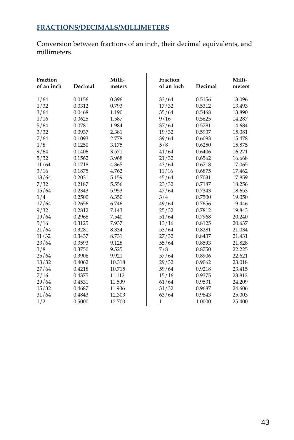#### **FRACTIONS/DECIMALS/MILLIMETERS**

Conversion between fractions of an inch, their decimal equivalents, and millimeters.

| Fraction<br>of an inch | Decimal | Milli-<br>meters | Fraction<br>of an inch | Decimal | Milli-<br>meters |
|------------------------|---------|------------------|------------------------|---------|------------------|
| 1/64                   | 0.0156  | 0.396            | 33/64                  | 0.5156  | 13.096           |
| 1/32                   | 0.0312  | 0.793            | 17/32                  | 0.5312  | 13.493           |
| 3/64                   | 0.0468  | 1.190            | 35/64                  | 0.5468  | 13.890           |
| 1/16                   | 0.0625  | 1.587            | 9/16                   | 0.5625  | 14.287           |
| 5/64                   | 0.0781  | 1.984            | 37/64                  | 0.5781  | 14.684           |
| 3/32                   | 0.0937  | 2.381            | 19/32                  | 0.5937  | 15.081           |
| 7/64                   | 0.1093  | 2.778            | 39/64                  | 0.6093  | 15.478           |
| 1/8                    | 0.1250  | 3.175            | 5/8                    | 0.6250  | 15.875           |
| 9/64                   | 0.1406  | 3.571            | 41/64                  | 0.6406  | 16.271           |
| 5/32                   | 0.1562  | 3.968            | 21/32                  | 0.6562  | 16.668           |
| 11/64                  | 0.1718  | 4.365            | 43/64                  | 0.6718  | 17.065           |
| 3/16                   | 0.1875  | 4.762            | 11/16                  | 0.6875  | 17.462           |
| 13/64                  | 0.2031  | 5.159            | 45/64                  | 0.7031  | 17.859           |
| 7/32                   | 0.2187  | 5.556            | 23/32                  | 0.7187  | 18.256           |
| 15/64                  | 0.2343  | 5.953            | 47/64                  | 0.7343  | 18.653           |
| 1/4                    | 0.2500  | 6.350            | 3/4                    | 0.7500  | 19.050           |
| 17/64                  | 0.2656  | 6.746            | 49/64                  | 0.7656  | 19.446           |
| 9/32                   | 0.2812  | 7.143            | 25/32                  | 0.7812  | 19.843           |
| 19/64                  | 0.2968  | 7.540            | 51/64                  | 0.7968  | 20.240           |
| 5/16                   | 0.3125  | 7.937            | 13/16                  | 0.8125  | 20.637           |
| 21/64                  | 0.3281  | 8.334            | 53/64                  | 0.8281  | 21.034           |
| 11/32                  | 0.3437  | 8.731            | 27/32                  | 0.8437  | 21.431           |
| 23/64                  | 0.3593  | 9.128            | 55/64                  | 0.8593  | 21.828           |
| 3/8                    | 0.3750  | 9.525            | 7/8                    | 0.8750  | 22.225           |
| 25/64                  | 0.3906  | 9.921            | 57/64                  | 0.8906  | 22.621           |
| 13/32                  | 0.4062  | 10.318           | 29/32                  | 0.9062  | 23.018           |
| 27/64                  | 0.4218  | 10.715           | 59/64                  | 0.9218  | 23.415           |
| 7/16                   | 0.4375  | 11.112           | 15/16                  | 0.9375  | 23.812           |
| 29/64                  | 0.4531  | 11.509           | 61/64                  | 0.9531  | 24.209           |
| 15/32                  | 0.4687  | 11.906           | 31/32                  | 0.9687  | 24.606           |
| 31/64                  | 0.4843  | 12.303           | 63/64                  | 0.9843  | 25.003           |
| 1/2                    | 0.5000  | 12.700           | $\mathbf{1}$           | 1.0000  | 25.400           |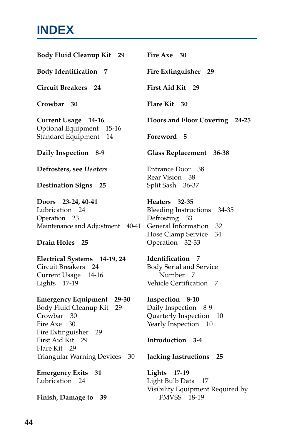### **INDEX**

| <b>Body Fluid Cleanup Kit</b> 29                                                                                         | Fire Axe 30                                                                                                                               |
|--------------------------------------------------------------------------------------------------------------------------|-------------------------------------------------------------------------------------------------------------------------------------------|
| <b>Body Identification</b> 7                                                                                             | Fire Extinguisher 29                                                                                                                      |
| <b>Circuit Breakers</b> 24                                                                                               | First Aid Kit 29                                                                                                                          |
| Crowbar 30                                                                                                               | Flare Kit 30                                                                                                                              |
| <b>Current Usage</b> 14-16<br>Optional Equipment 15-16<br>Standard Equipment 14                                          | <b>Floors and Floor Covering</b><br>24-25<br>Foreword 5                                                                                   |
| Daily Inspection 8-9                                                                                                     | Glass Replacement 36-38                                                                                                                   |
| Defrosters, see Heaters<br><b>Destination Signs 25</b>                                                                   | Entrance Door 38<br>Rear Vision 38<br>Split Sash 36-37                                                                                    |
| Doors 23-24, 40-41<br>Lubrication 24<br>Operation 23<br>Maintenance and Adjustment 40-41<br><b>Drain Holes</b> 25        | Heaters 32-35<br>Bleeding Instructions 34-35<br>Defrosting 33<br>General Information<br>32<br>Hose Clamp Service<br>34<br>Operation 32-33 |
| Electrical Systems 14-19, 24<br>Circuit Breakers 24<br>Current Usage 14-16<br>Lights 17-19                               | Identification 7<br>Body Serial and Service<br>Number<br>7<br>Vehicle Certification 7                                                     |
| <b>Emergency Equipment</b> 29-30<br>Body Fluid Cleanup Kit<br>29<br>Crowbar<br>30<br>Fire Axe 30<br>Fire Extinguisher 29 | Inspection 8-10<br>Daily Inspection 8-9<br>Quarterly Inspection 10<br>Yearly Inspection 10                                                |
| First Aid Kit 29<br>Flare Kit 29                                                                                         | Introduction 3-4                                                                                                                          |
| <b>Triangular Warning Devices</b><br>30                                                                                  | <b>Jacking Instructions</b><br>25                                                                                                         |
| <b>Emergency Exits</b><br>31<br>Lubrication 24<br><b>Finish, Damage to</b><br>39                                         | Lights 17-19<br>Light Bulb Data<br>17<br>Visibility Equipment Required by<br>FMVSS 18-19                                                  |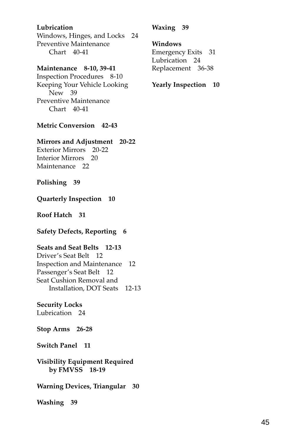#### **Lubrication**

Windows, Hinges, and Locks 24 Preventive Maintenance Chart 40-41

#### **Maintenance 8-10, 39-41**

Inspection Procedures 8-10 Keeping Your Vehicle Looking New 39 Preventive Maintenance Chart 40-41

#### **Metric Conversion 42-43**

#### **Mirrors and Adjustment 20-22**

Exterior Mirrors 20-22 Interior Mirrors 20 Maintenance 22

#### **Polishing 39**

#### **Quarterly Inspection 10**

**Roof Hatch 31**

#### **Safety Defects, Reporting 6**

#### **Seats and Seat Belts 12-13**

Driver's Seat Belt 12 Inspection and Maintenance 12 Passenger's Seat Belt 12 Seat Cushion Removal and Installation, DOT Seats 12-13

**Security Locks** Lubrication 24

**Stop Arms 26-28**

**Switch Panel 11**

**Visibility Equipment Required by FMVSS 18-19**

**Warning Devices, Triangular 30**

**Washing 39**

#### **Waxing 39**

**Windows** Emergency Exits 31 Lubrication 24 Replacement 36-38

#### **Yearly Inspection 10**